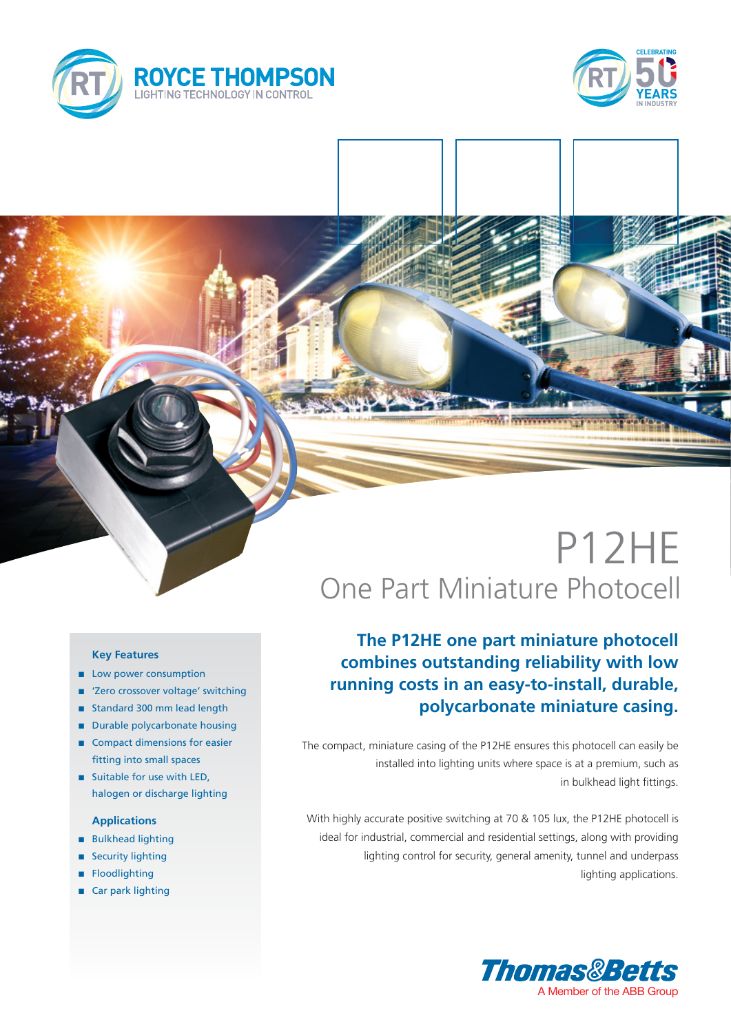



# P12HE One Part Miniature Photocell

## **The P12HE one part miniature photocell combines outstanding reliability with low running costs in an easy-to-install, durable, polycarbonate miniature casing.**

The compact, miniature casing of the P12HE ensures this photocell can easily be installed into lighting units where space is at a premium, such as in bulkhead light fittings.

With highly accurate positive switching at 70 & 105 lux, the P12HE photocell is ideal for industrial, commercial and residential settings, along with providing lighting control for security, general amenity, tunnel and underpass lighting applications.



#### **Key Features**

- **n** Low power consumption
- 'Zero crossover voltage' switching
- standard 300 mm lead length
- Durable polycarbonate housing
- Compact dimensions for easier fitting into small spaces
- **n** Suitable for use with LED. halogen or discharge lighting

### **Applications**

- **n** Bulkhead lighting
- **Security lighting**
- **Floodlighting**
- Car park lighting